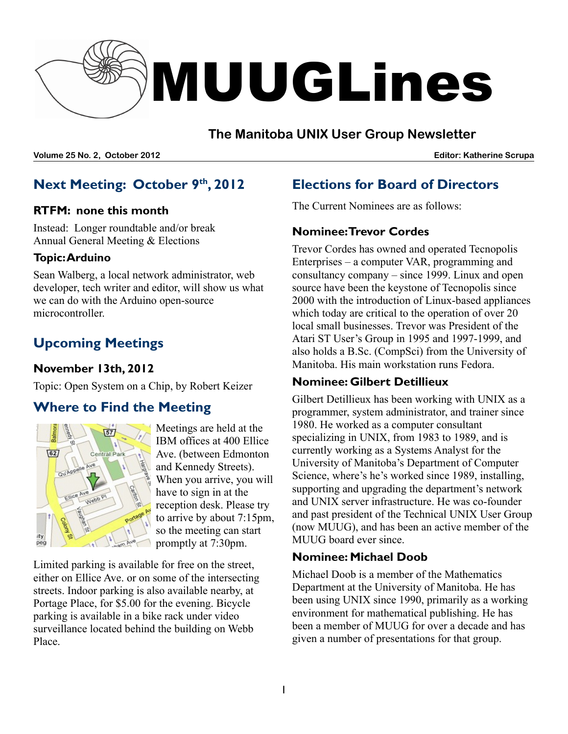

## **The Manitoba UNIX User Group Newsletter**

**Volume 25 No. 2, October 2012 Editor: Katherine Scrupa**

# **Next Meeting: October 9 th , 2012**

#### **RTFM: none this month**

Instead: Longer roundtable and/or break Annual General Meeting & Elections

#### **Topic:Arduino**

Sean Walberg, a local network administrator, web developer, tech writer and editor, will show us what we can do with the Arduino open-source microcontroller.

# **Upcoming Meetings**

### **November 13th, 2012**

Topic: Open System on a Chip, by Robert Keizer

# **Where to Find the Meeting**



Meetings are held at the IBM offices at 400 Ellice Ave. (between Edmonton and Kennedy Streets). When you arrive, you will have to sign in at the reception desk. Please try to arrive by about 7:15pm, so the meeting can start promptly at 7:30pm.

Limited parking is available for free on the street, either on Ellice Ave. or on some of the intersecting streets. Indoor parking is also available nearby, at Portage Place, for \$5.00 for the evening. Bicycle parking is available in a bike rack under video surveillance located behind the building on Webb Place.

# **Elections for Board of Directors**

The Current Nominees are as follows:

### **Nominee:Trevor Cordes**

Trevor Cordes has owned and operated Tecnopolis Enterprises – a computer VAR, programming and consultancy company – since 1999. Linux and open source have been the keystone of Tecnopolis since 2000 with the introduction of Linux-based appliances which today are critical to the operation of over 20 local small businesses. Trevor was President of the Atari ST User's Group in 1995 and 1997-1999, and also holds a B.Sc. (CompSci) from the University of Manitoba. His main workstation runs Fedora.

### **Nominee: Gilbert Detillieux**

Gilbert Detillieux has been working with UNIX as a programmer, system administrator, and trainer since 1980. He worked as a computer consultant specializing in UNIX, from 1983 to 1989, and is currently working as a Systems Analyst for the University of Manitoba's Department of Computer Science, where's he's worked since 1989, installing, supporting and upgrading the department's network and UNIX server infrastructure. He was co-founder and past president of the Technical UNIX User Group (now MUUG), and has been an active member of the MUUG board ever since.

### **Nominee: Michael Doob**

Michael Doob is a member of the Mathematics Department at the University of Manitoba. He has been using UNIX since 1990, primarily as a working environment for mathematical publishing. He has been a member of MUUG for over a decade and has given a number of presentations for that group.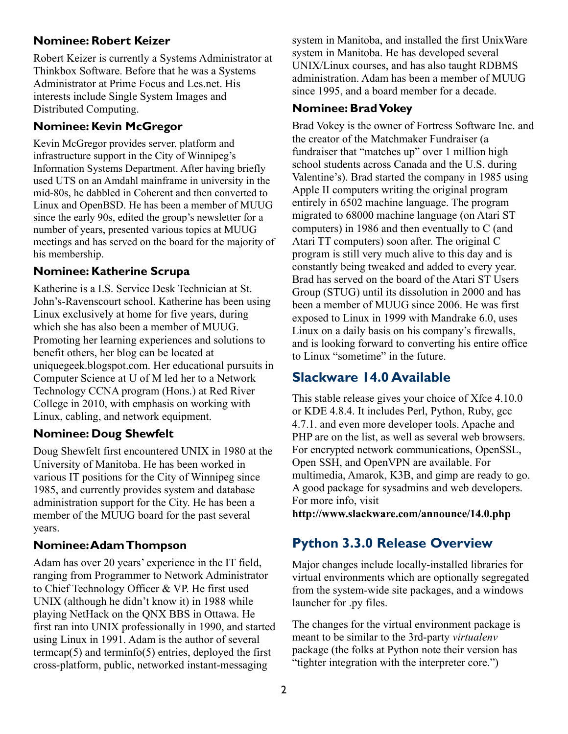#### **Nominee: Robert Keizer**

Robert Keizer is currently a Systems Administrator at Thinkbox Software. Before that he was a Systems Administrator at Prime Focus and Les.net. His interests include Single System Images and Distributed Computing.

### **Nominee: Kevin McGregor**

Kevin McGregor provides server, platform and infrastructure support in the City of Winnipeg's Information Systems Department. After having briefly used UTS on an Amdahl mainframe in university in the mid-80s, he dabbled in Coherent and then converted to Linux and OpenBSD. He has been a member of MUUG since the early 90s, edited the group's newsletter for a number of years, presented various topics at MUUG meetings and has served on the board for the majority of his membership.

### **Nominee: Katherine Scrupa**

Katherine is a I.S. Service Desk Technician at St. John's-Ravenscourt school. Katherine has been using Linux exclusively at home for five years, during which she has also been a member of MUUG. Promoting her learning experiences and solutions to benefit others, her blog can be located at uniquegeek.blogspot.com. Her educational pursuits in Computer Science at U of M led her to a Network Technology CCNA program (Hons.) at Red River College in 2010, with emphasis on working with Linux, cabling, and network equipment.

### **Nominee: Doug Shewfelt**

Doug Shewfelt first encountered UNIX in 1980 at the University of Manitoba. He has been worked in various IT positions for the City of Winnipeg since 1985, and currently provides system and database administration support for the City. He has been a member of the MUUG board for the past several years.

#### **Nominee:Adam Thompson**

Adam has over 20 years' experience in the IT field, ranging from Programmer to Network Administrator to Chief Technology Officer & VP. He first used UNIX (although he didn't know it) in 1988 while playing NetHack on the QNX BBS in Ottawa. He first ran into UNIX professionally in 1990, and started using Linux in 1991. Adam is the author of several termcap $(5)$  and terminfo $(5)$  entries, deployed the first cross-platform, public, networked instant-messaging

system in Manitoba, and installed the first UnixWare system in Manitoba. He has developed several UNIX/Linux courses, and has also taught RDBMS administration. Adam has been a member of MUUG since 1995, and a board member for a decade.

#### **Nominee: BradVokey**

Brad Vokey is the owner of Fortress Software Inc. and the creator of the Matchmaker Fundraiser (a fundraiser that "matches up" over 1 million high school students across Canada and the U.S. during Valentine's). Brad started the company in 1985 using Apple II computers writing the original program entirely in 6502 machine language. The program migrated to 68000 machine language (on Atari ST computers) in 1986 and then eventually to C (and Atari TT computers) soon after. The original C program is still very much alive to this day and is constantly being tweaked and added to every year. Brad has served on the board of the Atari ST Users Group (STUG) until its dissolution in 2000 and has been a member of MUUG since 2006. He was first exposed to Linux in 1999 with Mandrake 6.0, uses Linux on a daily basis on his company's firewalls, and is looking forward to converting his entire office to Linux "sometime" in the future.

## **Slackware 14.0 Available**

This stable release gives your choice of Xfce 4.10.0 or KDE 4.8.4. It includes Perl, Python, Ruby, gcc 4.7.1. and even more developer tools. Apache and PHP are on the list, as well as several web browsers. For encrypted network communications, OpenSSL, Open SSH, and OpenVPN are available. For multimedia, Amarok, K3B, and gimp are ready to go. A good package for sysadmins and web developers. For more info, visit

**http://www.slackware.com/announce/14.0.php**

## **Python 3.3.0 Release Overview**

Major changes include locally-installed libraries for virtual environments which are optionally segregated from the system-wide site packages, and a windows launcher for .py files.

The changes for the virtual environment package is meant to be similar to the 3rd-party *virtualenv* package (the folks at Python note their version has "tighter integration with the interpreter core.")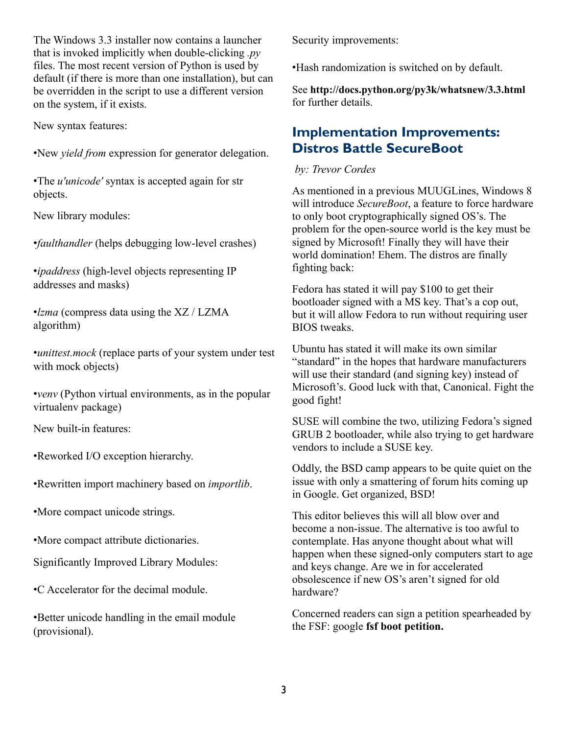The Windows 3.3 installer now contains a launcher that is invoked implicitly when double-clicking *.py* files. The most recent version of Python is used by default (if there is more than one installation), but can be overridden in the script to use a different version on the system, if it exists.

New syntax features:

•New *yield from* expression for generator delegation.

•The *u'unicode'* syntax is accepted again for str objects.

New library modules:

•*faulthandler* (helps debugging low-level crashes)

•*ipaddress* (high-level objects representing IP addresses and masks)

•*lzma* (compress data using the XZ / LZMA algorithm)

•*unittest.mock* (replace parts of your system under test with mock objects)

•*venv* (Python virtual environments, as in the popular virtualenv package)

New built-in features:

•Reworked I/O exception hierarchy.

•Rewritten import machinery based on *importlib*.

•More compact unicode strings.

•More compact attribute dictionaries.

Significantly Improved Library Modules:

•C Accelerator for the decimal module.

•Better unicode handling in the email module (provisional).

Security improvements:

•Hash randomization is switched on by default.

See **http://docs.python.org/py3k/whatsnew/3.3.html** for further details.

### **Implementation Improvements: Distros Battle SecureBoot**

#### *by: Trevor Cordes*

As mentioned in a previous MUUGLines, Windows 8 will introduce *SecureBoot*, a feature to force hardware to only boot cryptographically signed OS's. The problem for the open-source world is the key must be signed by Microsoft! Finally they will have their world domination! Ehem. The distros are finally fighting back:

Fedora has stated it will pay \$100 to get their bootloader signed with a MS key. That's a cop out, but it will allow Fedora to run without requiring user BIOS tweaks.

Ubuntu has stated it will make its own similar "standard" in the hopes that hardware manufacturers will use their standard (and signing key) instead of Microsoft's. Good luck with that, Canonical. Fight the good fight!

SUSE will combine the two, utilizing Fedora's signed GRUB 2 bootloader, while also trying to get hardware vendors to include a SUSE key.

Oddly, the BSD camp appears to be quite quiet on the issue with only a smattering of forum hits coming up in Google. Get organized, BSD!

This editor believes this will all blow over and become a non-issue. The alternative is too awful to contemplate. Has anyone thought about what will happen when these signed-only computers start to age and keys change. Are we in for accelerated obsolescence if new OS's aren't signed for old hardware?

Concerned readers can sign a petition spearheaded by the FSF: google **fsf boot petition.**